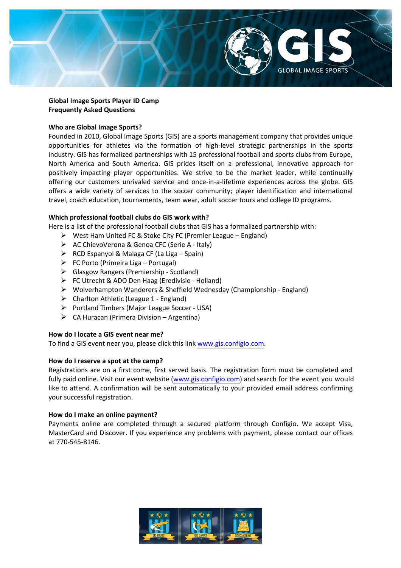

# **Global Image Sports Player ID Camp Frequently Asked Questions**

# **Who are Global Image Sports?**

Founded in 2010, Global Image Sports (GIS) are a sports management company that provides unique opportunities for athletes via the formation of high-level strategic partnerships in the sports industry. GIS has formalized partnerships with 15 professional football and sports clubs from Europe, North America and South America. GIS prides itself on a professional, innovative approach for positively impacting player opportunities. We strive to be the market leader, while continually offering our customers unrivaled service and once-in-a-lifetime experiences across the globe. GIS offers a wide variety of services to the soccer community; player identification and international travel, coach education, tournaments, team wear, adult soccer tours and college ID programs.

# Which professional football clubs do GIS work with?

Here is a list of the professional football clubs that GIS has a formalized partnership with:

- $\triangleright$  West Ham United FC & Stoke City FC (Premier League England)
- $\triangleright$  AC ChievoVerona & Genoa CFC (Serie A Italy)
- $\triangleright$  RCD Espanyol & Malaga CF (La Liga Spain)
- $\triangleright$  FC Porto (Primeira Liga Portugal)
- $\triangleright$  Glasgow Rangers (Premiership Scotland)
- $\triangleright$  FC Utrecht & ADO Den Haag (Eredivisie Holland)
- $\triangleright$  Wolverhampton Wanderers & Sheffield Wednesday (Championship England)
- $\triangleright$  Charlton Athletic (League 1 England)
- $\triangleright$  Portland Timbers (Major League Soccer USA)
- $\triangleright$  CA Huracan (Primera Division Argentina)

## How do I locate a GIS event near me?

To find a GIS event near you, please click this link [www.gis.configio.com.](https://gis.configio.com/ShoppingCart.aspx)

## How do I reserve a spot at the camp?

Registrations are on a first come, first served basis. The registration form must be completed and fully paid online. Visit our event website [\(www.gis.configio.com\)](https://gis.configio.com/ShoppingCart.aspx) and search for the event you would like to attend. A confirmation will be sent automatically to your provided email address confirming your successful registration.

## How do I make an online payment?

Payments online are completed through a secured platform through Configio. We accept Visa, MasterCard and Discover. If you experience any problems with payment, please contact our offices at 770-545-8146.

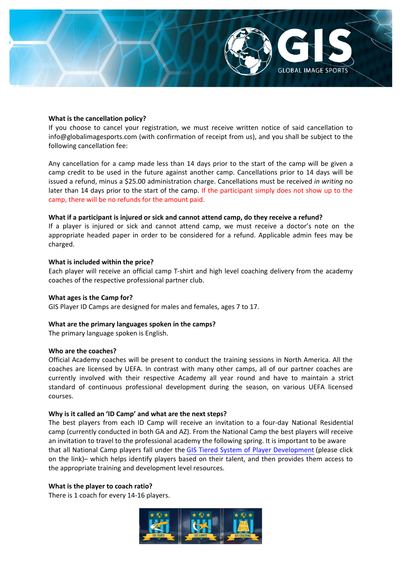

### **What is the cancellation policy?**

If you choose to cancel your registration, we must receive written notice of said cancellation to info@globalimagesports.com (with confirmation of receipt from us), and you shall be subject to the following cancellation fee:

Any cancellation for a camp made less than 14 days prior to the start of the camp will be given a camp credit to be used in the future against another camp. Cancellations prior to 14 days will be issued a refund, minus a \$25.00 administration charge. Cancellations must be received *in writing* no later than 14 days prior to the start of the camp. If the participant simply does not show up to the camp, there will be no refunds for the amount paid.

### What if a participant is injured or sick and cannot attend camp, do they receive a refund?

If a player is injured or sick and cannot attend camp, we must receive a doctor's note on the appropriate headed paper in order to be considered for a refund. Applicable admin fees may be charged.

#### **What is included within the price?**

Each player will receive an official camp T-shirt and high level coaching delivery from the academy coaches of the respective professional partner club.

#### **What ages is the Camp for?**

GIS Player ID Camps are designed for males and females, ages 7 to 17.

#### **What are the primary languages spoken in the camps?**

The primary language spoken is English.

### **Who are the coaches?**

Official Academy coaches will be present to conduct the training sessions in North America. All the coaches are licensed by UEFA. In contrast with many other camps, all of our partner coaches are currently involved with their respective Academy all year round and have to maintain a strict standard of continuous professional development during the season, on various UEFA licensed courses.

#### **Why is it called an 'ID Camp' and what are the next steps?**

The best players from each ID Camp will receive an invitation to a four-day National Residential camp (currently conducted in both GA and AZ). From the National Camp the best players will receive an invitation to travel to the professional academy the following spring. It is important to be aware that all National Camp players fall under the GIS Tiered System of Player [Development](http://www.globalimagesports.com/blog/post/global-image-sports-tiered-player-development-system) (please click on the link)– which helps identify players based on their talent, and then provides them access to the appropriate training and development level resources.

#### **What is the player to coach ratio?**

There is 1 coach for every 14-16 players.